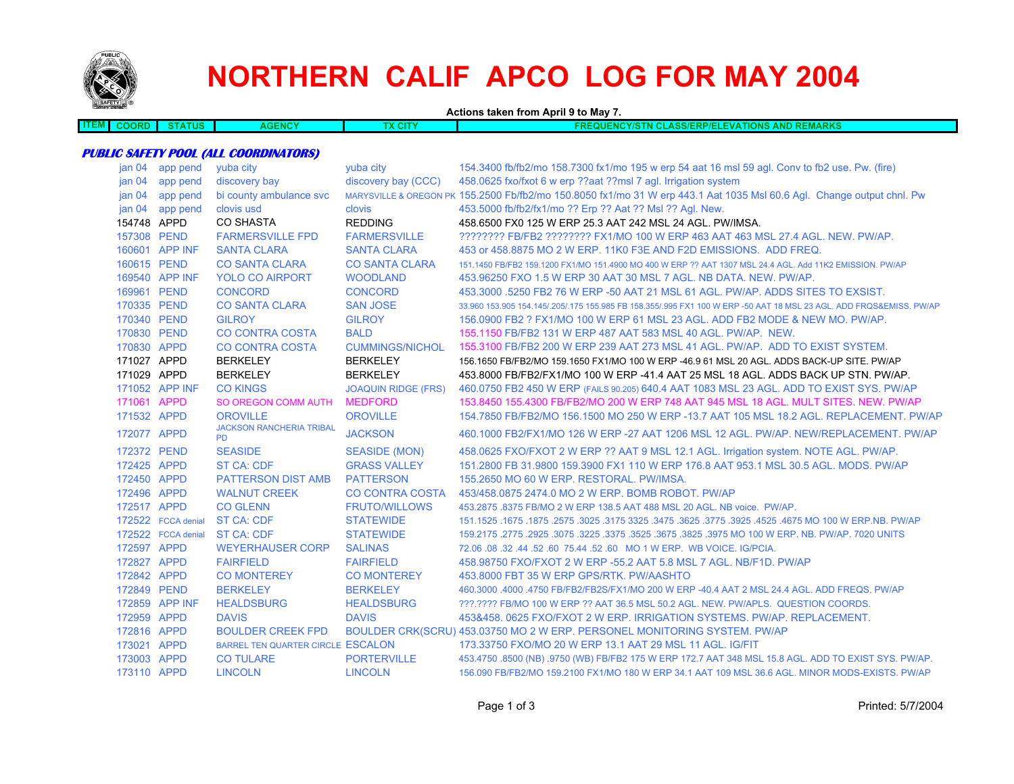

# **NORTHERN CALIF APCO LOG FOR MAY 2004**

**Actions taken from April 9 to May 7. ITEM COORD STATUS AGENCY TX CITY FREQUENCY/STN CLASS/ERP/ELEVATIONS AND REMARKS PUBLIC SAFETY POOL (ALL COORDINATORS)** jan 04 app pend yuba city yuba city 154.3400 fb/fb2/mo 158.7300 fx1/mo 195 w erp 54 aat 16 msl 59 agl. Conv to fb2 use. Pw. (fire)

|             | jan 04 app pend    | discovery bay                                |                            | discovery bay (CCC) 458.0625 fxo/fxot 6 w erp ??aat ??msl 7 agl. Irrigation system                                     |
|-------------|--------------------|----------------------------------------------|----------------------------|------------------------------------------------------------------------------------------------------------------------|
|             | jan 04 app pend    | bi county ambulance svc                      |                            | MARYSVILLE & OREGON PK 155.2500 Fb/fb2/mo 150.8050 fx1/mo 31 W erp 443.1 Aat 1035 Msl 60.6 Agl. Change output chnl. Pw |
|             | jan 04 app pend    | clovis usd                                   | clovis                     | 453.5000 fb/fb2/fx1/mo ?? Erp ?? Aat ?? Msl ?? Agl. New.                                                               |
| 154748 APPD |                    | <b>CO SHASTA</b>                             | <b>REDDING</b>             | 458.6500 FX0 125 W ERP 25.3 AAT 242 MSL 24 AGL. PW/IMSA.                                                               |
| 157308 PEND |                    | <b>FARMERSVILLE FPD</b>                      | <b>FARMERSVILLE</b>        | ???????? FB/FB2 ???????? FX1/MO 100 W ERP 463 AAT 463 MSL 27.4 AGL. NEW. PW/AP.                                        |
|             | 160601 APP INF     | <b>SANTA CLARA</b>                           | <b>SANTA CLARA</b>         | 453 or 458,8875 MO 2 W ERP, 11K0 F3E AND F2D EMISSIONS. ADD FREQ.                                                      |
| 160615 PEND |                    | <b>CO SANTA CLARA</b>                        | <b>CO SANTA CLARA</b>      | 151.1450 FB/FB2 159.1200 FX1/MO 151.4900 MO 400 W ERP ?? AAT 1307 MSL 24.4 AGL. Add 11K2 EMISSION, PW/AP               |
|             | 169540 APP INF     | <b>YOLO CO AIRPORT</b>                       | <b>WOODLAND</b>            | 453,96250 FXO 1.5 W ERP 30 AAT 30 MSL 7 AGL, NB DATA, NEW, PW/AP.                                                      |
| 169961 PEND |                    | <b>CONCORD</b>                               | <b>CONCORD</b>             | 453,3000 5250 FB2 76 W ERP -50 AAT 21 MSL 61 AGL. PW/AP, ADDS SITES TO EXSIST.                                         |
| 170335 PEND |                    | <b>CO SANTA CLARA</b>                        | <b>SAN JOSE</b>            | 33.960 153.905 154.145/.205/.175 155.985 FB 158.355/.995 FX1 100 W ERP -50 AAT 18 MSL 23 AGL. ADD FRQS&EMISS. PW/AP    |
| 170340 PEND |                    | <b>GILROY</b>                                | <b>GILROY</b>              | 156.0900 FB2 ? FX1/MO 100 W ERP 61 MSL 23 AGL. ADD FB2 MODE & NEW MO. PW/AP.                                           |
| 170830 PEND |                    | <b>CO CONTRA COSTA</b>                       | <b>BALD</b>                | 155.1150 FB/FB2 131 W ERP 487 AAT 583 MSL 40 AGL. PW/AP. NEW.                                                          |
| 170830 APPD |                    | <b>CO CONTRA COSTA</b>                       | <b>CUMMINGS/NICHOL</b>     | 155,3100 FB/FB2 200 W ERP 239 AAT 273 MSL 41 AGL, PW/AP. ADD TO EXIST SYSTEM.                                          |
| 171027 APPD |                    | <b>BERKELEY</b>                              | <b>BERKELEY</b>            | 156.1650 FB/FB2/MO 159.1650 FX1/MO 100 W ERP -46.9 61 MSL 20 AGL, ADDS BACK-UP SITE, PW/AP                             |
| 171029 APPD |                    | <b>BERKELEY</b>                              | <b>BERKELEY</b>            | 453.8000 FB/FB2/FX1/MO 100 W ERP -41.4 AAT 25 MSL 18 AGL. ADDS BACK UP STN. PW/AP.                                     |
|             | 171052 APP INF     | <b>CO KINGS</b>                              | <b>JOAQUIN RIDGE (FRS)</b> | 460.0750 FB2 450 W ERP (FAILS 90.205) 640.4 AAT 1083 MSL 23 AGL. ADD TO EXIST SYS. PW/AP                               |
| 171061 APPD |                    | <b>SO OREGON COMM AUTH</b>                   | <b>MEDFORD</b>             | 153.8450 155.4300 FB/FB2/MO 200 W ERP 748 AAT 945 MSL 18 AGL. MULT SITES. NEW. PW/AP                                   |
| 171532 APPD |                    | <b>OROVILLE</b>                              | <b>OROVILLE</b>            | 154.7850 FB/FB2/MO 156.1500 MO 250 W ERP -13.7 AAT 105 MSL 18.2 AGL, REPLACEMENT, PW/AP                                |
| 172077 APPD |                    | <b>JACKSON RANCHERIA TRIBAL</b><br><b>PD</b> | <b>JACKSON</b>             | 460.1000 FB2/FX1/MO 126 W ERP -27 AAT 1206 MSL 12 AGL, PW/AP, NEW/REPLACEMENT, PW/AP                                   |
| 172372 PEND |                    | <b>SEASIDE</b>                               | <b>SEASIDE (MON)</b>       | 458.0625 FXO/FXOT 2 W ERP ?? AAT 9 MSL 12.1 AGL. Irrigation system. NOTE AGL. PW/AP.                                   |
| 172425 APPD |                    | <b>ST CA: CDF</b>                            | <b>GRASS VALLEY</b>        | 151.2800 FB 31.9800 159.3900 FX1 110 W ERP 176.8 AAT 953.1 MSL 30.5 AGL. MODS. PW/AP                                   |
| 172450 APPD |                    | PATTERSON DIST AMB                           | <b>PATTERSON</b>           | 155.2650 MO 60 W ERP. RESTORAL, PW/IMSA.                                                                               |
| 172496 APPD |                    | <b>WALNUT CREEK</b>                          | <b>CO CONTRA COSTA</b>     | 453/458.0875 2474.0 MO 2 W ERP. BOMB ROBOT, PW/AP                                                                      |
| 172517 APPD |                    | <b>CO GLENN</b>                              | <b>FRUTO/WILLOWS</b>       | 453.2875 .8375 FB/MO 2 W ERP 138.5 AAT 488 MSL 20 AGL. NB voice. PW/AP.                                                |
|             | 172522 FCCA denial | <b>ST CA: CDF</b>                            | <b>STATEWIDE</b>           | 151.1525 .1675 NO 100 W ERP.NB. PW/AP .2575 .3025 .3175 3325 .3475 .3625 .3625 .3675 .4675 MO 100 W ERP.NB. PW         |
|             | 172522 FCCA denial | <b>ST CA: CDF</b>                            | <b>STATEWIDE</b>           | 159.2175 .2775 .2925 .3075 .3225 .3675 .3625 .3675 .3825 .3975 MO 100 W ERP. NB. PW/AP. 7020 UNITS                     |
| 172597 APPD |                    | <b>WEYERHAUSER CORP</b>                      | <b>SALINAS</b>             | 72.06 .08 .32 .44 .52 .60 75.44 .52 .60 MO 1 W ERP. WB VOICE. IG/PCIA.                                                 |
| 172827 APPD |                    | <b>FAIRFIELD</b>                             | <b>FAIRFIELD</b>           | 458,98750 FXO/FXOT 2 W ERP -55.2 AAT 5.8 MSL 7 AGL, NB/F1D, PW/AP                                                      |
| 172842 APPD |                    | <b>CO MONTEREY</b>                           | <b>CO MONTEREY</b>         | 453,8000 FBT 35 W ERP GPS/RTK, PW/AASHTO                                                                               |
| 172849 PEND |                    | <b>BERKELEY</b>                              | <b>BERKELEY</b>            | 460,3000 .4000 .4750 FB/FB2/FB2S/FX1/MO 200 W ERP -40.4 AAT 2 MSL 24.4 AGL, ADD FREQS, PW/AP                           |
|             | 172859 APP INF     | <b>HEALDSBURG</b>                            | <b>HEALDSBURG</b>          | ???.???? FB/MO 100 W ERP ?? AAT 36.5 MSL 50.2 AGL. NEW. PW/APLS. QUESTION COORDS.                                      |
| 172959 APPD |                    | <b>DAVIS</b>                                 | <b>DAVIS</b>               | 453&458, 0625 FXO/FXOT 2 W ERP, IRRIGATION SYSTEMS, PW/AP, REPLACEMENT.                                                |
| 172816 APPD |                    | <b>BOULDER CREEK FPD</b>                     |                            | BOULDER CRK(SCRU) 453.03750 MO 2 W ERP. PERSONEL MONITORING SYSTEM. PW/AP                                              |
| 173021 APPD |                    | BARREL TEN QUARTER CIRCLE ESCALON            |                            | 173.33750 FXO/MO 20 W ERP 13.1 AAT 29 MSL 11 AGL, IG/FIT                                                               |
| 173003 APPD |                    | <b>CO TULARE</b>                             | <b>PORTERVILLE</b>         | 453.4750 .8500 (NB) .9750 (WB) FB/FB2 175 W ERP 172.7 AAT 348 MSL 15.8 AGL. ADD TO EXIST SYS. PW/AP.                   |
| 173110 APPD |                    | <b>LINCOLN</b>                               | <b>LINCOLN</b>             | 156.090 FB/FB2/MO 159.2100 FX1/MO 180 W ERP 34.1 AAT 109 MSL 36.6 AGL. MINOR MODS-EXISTS. PW/AP                        |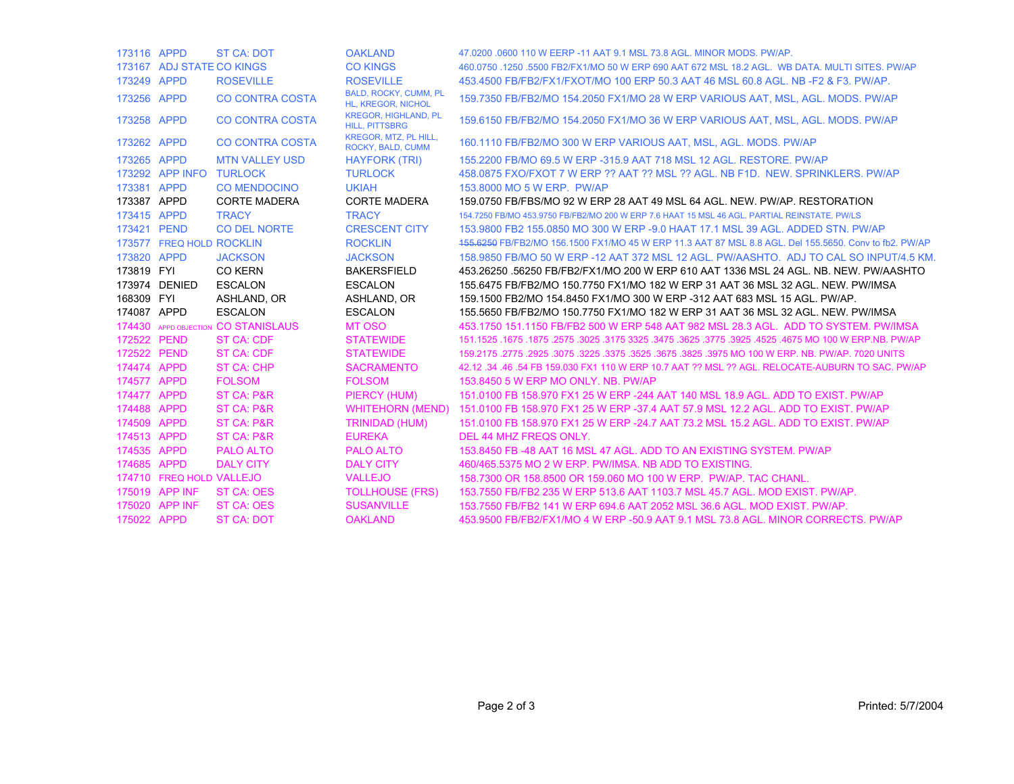| 173116 APPD |                           | <b>ST CA: DOT</b>            | <b>OAKLAND</b>                                       | 47,0200,0600 110 W EERP -11 AAT 9.1 MSL 73.8 AGL, MINOR MODS, PW/AP.                                          |
|-------------|---------------------------|------------------------------|------------------------------------------------------|---------------------------------------------------------------------------------------------------------------|
|             | 173167 ADJ STATE CO KINGS |                              | <b>CO KINGS</b>                                      | 460.0750 .1250 .5500 FB2/FX1/MO 50 W ERP 690 AAT 672 MSL 18.2 AGL. WB DATA, MULTI SITES, PW/AP                |
| 173249 APPD |                           | <b>ROSEVILLE</b>             | <b>ROSEVILLE</b>                                     | 453.4500 FB/FB2/FX1/FXOT/MO 100 ERP 50.3 AAT 46 MSL 60.8 AGL, NB -F2 & F3, PW/AP,                             |
| 173256 APPD |                           | <b>CO CONTRA COSTA</b>       | BALD, ROCKY, CUMM, PL<br>HL, KREGOR, NICHOL          | 159.7350 FB/FB2/MO 154.2050 FX1/MO 28 W ERP VARIOUS AAT, MSL, AGL. MODS. PW/AP                                |
| 173258      | <b>APPD</b>               | <b>CO CONTRA COSTA</b>       | <b>KREGOR, HIGHLAND, PL</b><br><b>HILL, PITTSBRG</b> | 159.6150 FB/FB2/MO 154.2050 FX1/MO 36 W ERP VARIOUS AAT, MSL, AGL. MODS. PW/AP                                |
| 173262 APPD |                           | <b>CO CONTRA COSTA</b>       | KREGOR, MTZ, PL HILL,<br>ROCKY, BALD, CUMM           | 160.1110 FB/FB2/MO 300 W ERP VARIOUS AAT, MSL, AGL, MODS, PW/AP                                               |
| 173265 APPD |                           | <b>MTN VALLEY USD</b>        | <b>HAYFORK (TRI)</b>                                 | 155,2200 FB/MO 69.5 W ERP -315.9 AAT 718 MSL 12 AGL, RESTORE, PW/AP                                           |
|             | 173292 APP INFO TURLOCK   |                              | <b>TURLOCK</b>                                       | 458,0875 FXO/FXOT 7 W ERP ?? AAT ?? MSL ?? AGL, NB F1D, NEW, SPRINKLERS, PW/AP                                |
| 173381 APPD |                           | <b>CO MENDOCINO</b>          | <b>UKIAH</b>                                         | 153,8000 MO 5 W ERP. PW/AP                                                                                    |
| 173387 APPD |                           | <b>CORTE MADERA</b>          | <b>CORTE MADERA</b>                                  | 159.0750 FB/FBS/MO 92 W ERP 28 AAT 49 MSL 64 AGL. NEW. PW/AP. RESTORATION                                     |
| 173415 APPD |                           | <b>TRACY</b>                 | <b>TRACY</b>                                         | 154.7250 FB/MO 453.9750 FB/FB2/MO 200 W ERP 7.6 HAAT 15 MSL 46 AGL, PARTIAL REINSTATE, PW/LS                  |
| 173421 PEND |                           | <b>CO DEL NORTE</b>          | <b>CRESCENT CITY</b>                                 | 153,9800 FB2 155,0850 MO 300 W ERP -9.0 HAAT 17.1 MSL 39 AGL, ADDED STN, PW/AP                                |
|             | 173577 FREQ HOLD ROCKLIN  |                              | <b>ROCKLIN</b>                                       | 155.6250 FB/FB2/MO 156.1500 FX1/MO 45 W ERP 11.3 AAT 87 MSL 8.8 AGL. Del 155.5650. Conv to fb2. PW/AP         |
| 173820 APPD |                           | <b>JACKSON</b>               | <b>JACKSON</b>                                       | 158,9850 FB/MO 50 W ERP -12 AAT 372 MSL 12 AGL, PW/AASHTO, ADJ TO CAL SO INPUT/4.5 KM                         |
| 173819 FYI  |                           | <b>CO KERN</b>               | <b>BAKERSFIELD</b>                                   | 453.26250 .56250 FB/FB2/FX1/MO 200 W ERP 610 AAT 1336 MSL 24 AGL. NB. NEW. PW/AASHTO                          |
|             | 173974 DENIED             | <b>ESCALON</b>               | <b>ESCALON</b>                                       | 155.6475 FB/FB2/MO 150.7750 FX1/MO 182 W ERP 31 AAT 36 MSL 32 AGL. NEW. PW/IMSA                               |
| 168309 FYI  |                           | ASHLAND, OR                  | ASHLAND, OR                                          | 159.1500 FB2/MO 154.8450 FX1/MO 300 W ERP -312 AAT 683 MSL 15 AGL, PW/AP.                                     |
|             |                           |                              |                                                      |                                                                                                               |
| 174087 APPD |                           | <b>ESCALON</b>               | <b>ESCALON</b>                                       | 155.5650 FB/FB2/MO 150.7750 FX1/MO 182 W ERP 31 AAT 36 MSL 32 AGL. NEW. PW/IMSA                               |
| 174430      |                           | APPD OBJECTION CO STANISLAUS | <b>MT OSO</b>                                        | 453,1750 151,1150 FB/FB2 500 W ERP 548 AAT 982 MSL 28.3 AGL. ADD TO SYSTEM, PW/IMSA                           |
| 172522      | <b>PEND</b>               | <b>ST CA: CDF</b>            | <b>STATEWIDE</b>                                     | 1675. 1675. 1675. 1675. 1675. 1675. 1675. 1775. 1625. 1675. 1675. 1675. 1675. 1675. 1675. 1675. 1675. 1675. 1 |
| 172522 PEND |                           | <b>ST CA: CDF</b>            | <b>STATEWIDE</b>                                     | 159,2175,2775,2925,3075,3225,3375,3525,3675,3825,3975,MO 100 W ERP, NB, PW/AP, 7020 UNITS                     |
| 174474 APPD |                           | <b>ST CA: CHP</b>            | <b>SACRAMENTO</b>                                    | 42.12 .34 .46 .54 FB 159.030 FX1 110 W ERP 10.7 AAT ?? MSL ?? AGL. RELOCATE-AUBURN TO SAC. PW/AP              |
| 174577 APPD |                           | <b>FOLSOM</b>                | <b>FOLSOM</b>                                        | 153,8450 5 W ERP MO ONLY, NB, PW/AP                                                                           |
| 174477      | <b>APPD</b>               | <b>ST CA: P&amp;R</b>        | PIERCY (HUM)                                         | 151.0100 FB 158.970 FX1 25 W ERP -244 AAT 140 MSL 18.9 AGL. ADD TO EXIST. PW/AP                               |
| 174488      | <b>APPD</b>               | <b>ST CA: P&amp;R</b>        | <b>WHITEHORN (MEND)</b>                              | 151,0100 FB 158,970 FX1 25 W ERP -37.4 AAT 57.9 MSL 12.2 AGL, ADD TO EXIST, PW/AP                             |
| 174509      | <b>APPD</b>               | <b>ST CA: P&amp;R</b>        | <b>TRINIDAD (HUM)</b>                                | 151,0100 FB 158,970 FX1 25 W ERP -24.7 AAT 73.2 MSL 15.2 AGL, ADD TO EXIST, PW/AP                             |
| 174513      | <b>APPD</b>               | <b>ST CA: P&amp;R</b>        | <b>EUREKA</b>                                        | DEL 44 MHZ FREQS ONLY.                                                                                        |
| 174535      | <b>APPD</b>               | <b>PALO ALTO</b>             | <b>PALO ALTO</b>                                     | 153,8450 FB -48 AAT 16 MSL 47 AGL, ADD TO AN EXISTING SYSTEM, PW/AP                                           |
| 174685 APPD |                           | <b>DALY CITY</b>             | <b>DALY CITY</b>                                     | 460/465,5375 MO 2 W ERP, PW/IMSA, NB ADD TO EXISTING.                                                         |
|             | 174710 FREQ HOLD VALLEJO  |                              | <b>VALLEJO</b>                                       | 158,7300 OR 158,8500 OR 159,060 MO 100 W ERP. PW/AP. TAC CHANL.                                               |
|             | 175019 APP INF            | <b>ST CA: OES</b>            | <b>TOLLHOUSE (FRS)</b>                               | 153.7550 FB/FB2 235 W ERP 513.6 AAT 1103.7 MSL 45.7 AGL, MOD EXIST, PW/AP.                                    |
| 175020      | <b>APP INF</b>            | <b>ST CA: OES</b>            | <b>SUSANVILLE</b>                                    | 153.7550 FB/FB2 141 W ERP 694.6 AAT 2052 MSL 36.6 AGL, MOD EXIST, PW/AP.                                      |